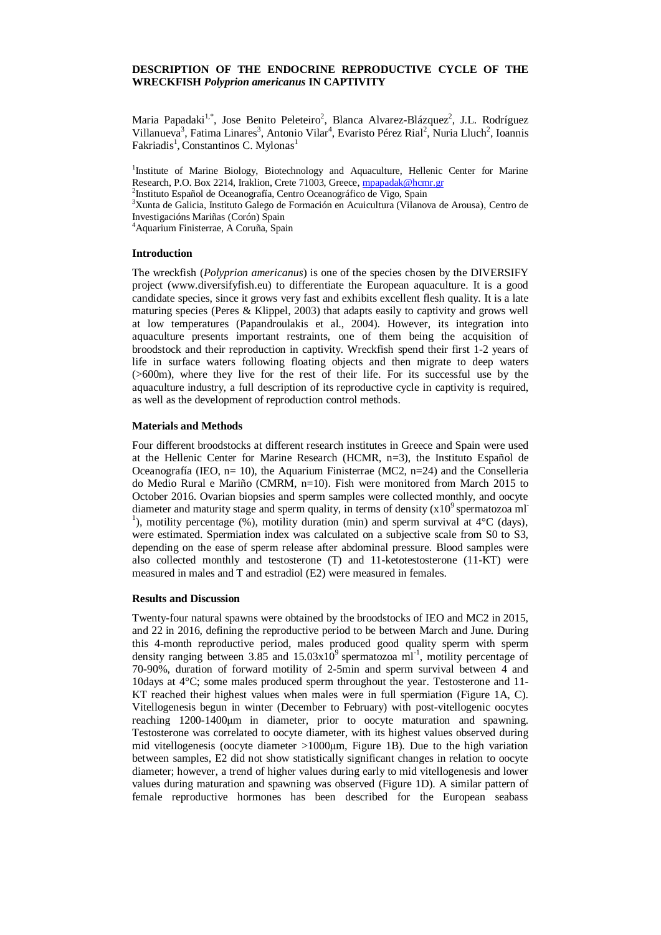## **DESCRIPTION OF THE ENDOCRINE REPRODUCTIVE CYCLE OF THE WRECKFISH** *Polyprion americanus* **IN CAPTIVITY**

Maria Papadaki<sup>1,\*</sup>, Jose Benito Peleteiro<sup>2</sup>, Blanca Alvarez-Blázquez<sup>2</sup>, J.L. Rodríguez Villanueva<sup>3</sup>, Fatima Linares<sup>3</sup>, Antonio Vilar<sup>4</sup>, Evaristo Pérez Rial<sup>2</sup>, Nuria Lluch<sup>2</sup>, Ioannis Fakriadis<sup>1</sup>, Constantinos C. Mylonas<sup>1</sup>

<sup>1</sup>Institute of Marine Biology, Biotechnology and Aquaculture, Hellenic Center for Marine Research, P.O. Box 2214, Iraklion, Crete 71003, Greece[, mpapadak@hcmr.gr](mailto:mpapadak@hcmr.gr) <sup>2</sup>Instituto Español de Oceanografía, Centro Oceanográfico de Vigo, Spain <sup>3</sup>Xunta de Galicia, Instituto Galego de Formación en Acuicultura (Vilanova de Arousa), Centro de Investigacións Mariñas (Corón) Spain <sup>4</sup>Aquarium Finisterrae, A Coruña, Spain

#### **Introduction**

The wreckfish (*Polyprion americanus*) is one of the species chosen by the DIVERSIFY project (www.diversifyfish.eu) to differentiate the European aquaculture. It is a good candidate species, since it grows very fast and exhibits excellent flesh quality. It is a late maturing species (Peres & Klippel, 2003) that adapts easily to captivity and grows well at low temperatures (Papandroulakis et al., 2004). However, its integration into aquaculture presents important restraints, one of them being the acquisition of broodstock and their reproduction in captivity. Wreckfish spend their first 1-2 years of life in surface waters following floating objects and then migrate to deep waters (>600m), where they live for the rest of their life. For its successful use by the aquaculture industry, a full description of its reproductive cycle in captivity is required, as well as the development of reproduction control methods.

## **Materials and Methods**

Four different broodstocks at different research institutes in Greece and Spain were used at the Hellenic Center for Marine Research (HCMR, n=3), the Instituto Español de Oceanografía (IEO,  $n=10$ ), the Aquarium Finisterrae (MC2,  $n=24$ ) and the Conselleria do Medio Rural e Mariño (CMRM, n=10). Fish were monitored from March 2015 to October 2016. Ovarian biopsies and sperm samples were collected monthly, and oocyte diameter and maturity stage and sperm quality, in terms of density  $(x10^9)$  spermatozoa ml <sup>1</sup>), motility percentage  $(\%)$ , motility duration (min) and sperm survival at 4°C (days), were estimated. Spermiation index was calculated on a subjective scale from S0 to S3, depending on the ease of sperm release after abdominal pressure. Blood samples were also collected monthly and testosterone (T) and 11-ketotestosterone (11-KT) were measured in males and T and estradiol (E2) were measured in females.

#### **Results and Discussion**

Twenty-four natural spawns were obtained by the broodstocks of IEO and MC2 in 2015, and 22 in 2016, defining the reproductive period to be between March and June. During this 4-month reproductive period, males produced good quality sperm with sperm density ranging between 3.85 and  $15.03 \times 10^{9}$  spermatozoa ml<sup>-1</sup>, motility percentage of 70-90%, duration of forward motility of 2-5min and sperm survival between 4 and 10days at 4°C; some males produced sperm throughout the year. Testosterone and 11- KT reached their highest values when males were in full spermiation (Figure 1A, C). Vitellogenesis begun in winter (December to February) with post-vitellogenic oocytes reaching 1200-1400μm in diameter, prior to oocyte maturation and spawning. Testosterone was correlated to oocyte diameter, with its highest values observed during mid vitellogenesis (oocyte diameter >1000μm, Figure 1B). Due to the high variation between samples, E2 did not show statistically significant changes in relation to oocyte diameter; however, a trend of higher values during early to mid vitellogenesis and lower values during maturation and spawning was observed (Figure 1D). A similar pattern of female reproductive hormones has been described for the European seabass